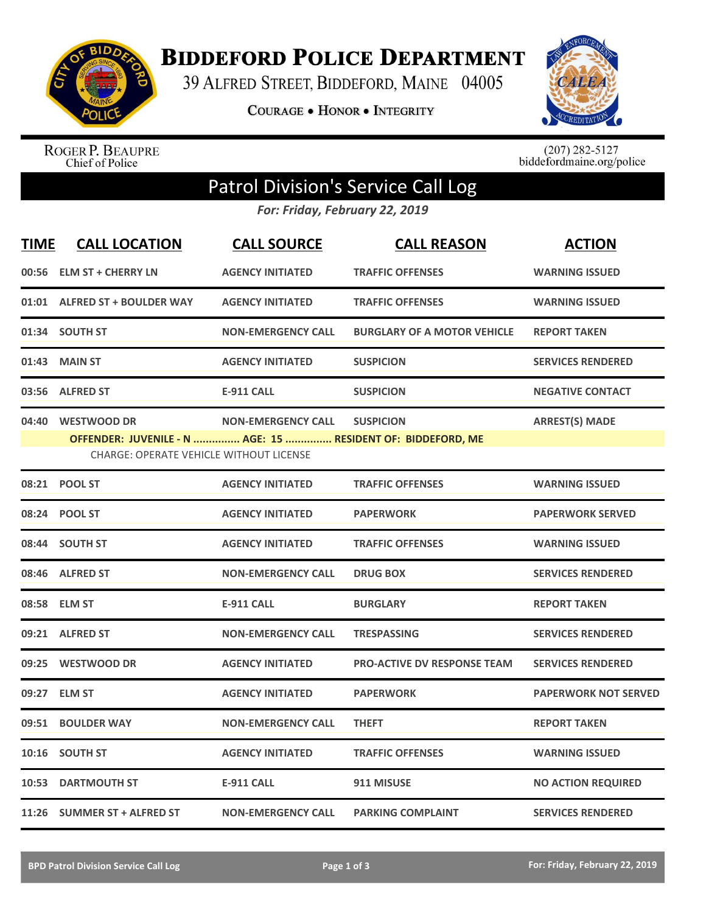

**BIDDEFORD POLICE DEPARTMENT** 

39 ALFRED STREET, BIDDEFORD, MAINE 04005

**COURAGE . HONOR . INTEGRITY** 



ROGER P. BEAUPRE<br>Chief of Police

 $(207)$  282-5127<br>biddefordmaine.org/police

## Patrol Division's Service Call Log

*For: Friday, February 22, 2019*

| <b>TIME</b> | <b>CALL LOCATION</b>                                                | <b>CALL SOURCE</b>        | <b>CALL REASON</b>                                                              | <b>ACTION</b>               |
|-------------|---------------------------------------------------------------------|---------------------------|---------------------------------------------------------------------------------|-----------------------------|
|             | 00:56 ELM ST + CHERRY LN                                            | <b>AGENCY INITIATED</b>   | <b>TRAFFIC OFFENSES</b>                                                         | <b>WARNING ISSUED</b>       |
|             | 01:01 ALFRED ST + BOULDER WAY                                       | <b>AGENCY INITIATED</b>   | <b>TRAFFIC OFFENSES</b>                                                         | <b>WARNING ISSUED</b>       |
|             | 01:34 SOUTH ST                                                      | <b>NON-EMERGENCY CALL</b> | <b>BURGLARY OF A MOTOR VEHICLE</b>                                              | <b>REPORT TAKEN</b>         |
|             | 01:43 MAIN ST                                                       | <b>AGENCY INITIATED</b>   | <b>SUSPICION</b>                                                                | <b>SERVICES RENDERED</b>    |
|             | 03:56 ALFRED ST                                                     | <b>E-911 CALL</b>         | <b>SUSPICION</b>                                                                | <b>NEGATIVE CONTACT</b>     |
|             | 04:40 WESTWOOD DR<br><b>CHARGE: OPERATE VEHICLE WITHOUT LICENSE</b> | <b>NON-EMERGENCY CALL</b> | <b>SUSPICION</b><br>OFFENDER: JUVENILE - N  AGE: 15  RESIDENT OF: BIDDEFORD, ME | <b>ARREST(S) MADE</b>       |
|             | 08:21 POOL ST                                                       | <b>AGENCY INITIATED</b>   | <b>TRAFFIC OFFENSES</b>                                                         | <b>WARNING ISSUED</b>       |
|             | 08:24 POOL ST                                                       | <b>AGENCY INITIATED</b>   | <b>PAPERWORK</b>                                                                | <b>PAPERWORK SERVED</b>     |
|             | 08:44 SOUTH ST                                                      | <b>AGENCY INITIATED</b>   | <b>TRAFFIC OFFENSES</b>                                                         | <b>WARNING ISSUED</b>       |
|             | 08:46 ALFRED ST                                                     | <b>NON-EMERGENCY CALL</b> | <b>DRUG BOX</b>                                                                 | <b>SERVICES RENDERED</b>    |
|             | 08:58 ELM ST                                                        | <b>E-911 CALL</b>         | <b>BURGLARY</b>                                                                 | <b>REPORT TAKEN</b>         |
|             | 09:21 ALFRED ST                                                     | <b>NON-EMERGENCY CALL</b> | <b>TRESPASSING</b>                                                              | <b>SERVICES RENDERED</b>    |
|             | 09:25 WESTWOOD DR                                                   | <b>AGENCY INITIATED</b>   | <b>PRO-ACTIVE DV RESPONSE TEAM</b>                                              | <b>SERVICES RENDERED</b>    |
|             | 09:27 ELM ST                                                        | <b>AGENCY INITIATED</b>   | <b>PAPERWORK</b>                                                                | <b>PAPERWORK NOT SERVED</b> |
|             | 09:51 BOULDER WAY                                                   | <b>NON-EMERGENCY CALL</b> | <b>THEFT</b>                                                                    | <b>REPORT TAKEN</b>         |
|             | 10:16 SOUTH ST                                                      | <b>AGENCY INITIATED</b>   | <b>TRAFFIC OFFENSES</b>                                                         | <b>WARNING ISSUED</b>       |
|             | <b>10:53 DARTMOUTH ST</b>                                           | <b>E-911 CALL</b>         | 911 MISUSE                                                                      | <b>NO ACTION REQUIRED</b>   |
|             | 11:26 SUMMER ST + ALFRED ST                                         | <b>NON-EMERGENCY CALL</b> | <b>PARKING COMPLAINT</b>                                                        | <b>SERVICES RENDERED</b>    |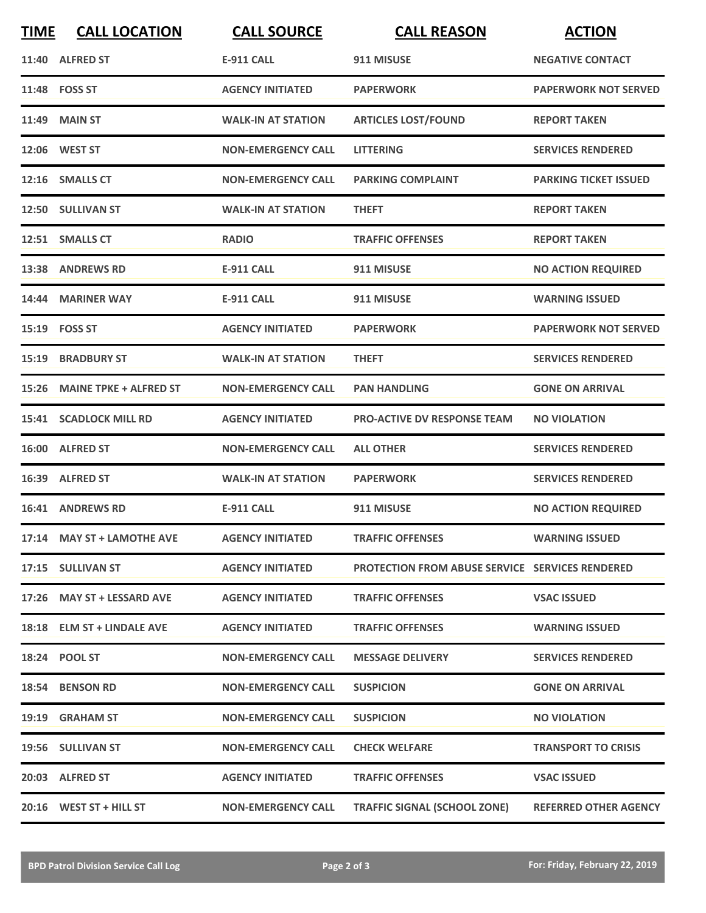| <b>TIME</b> | <b>CALL LOCATION</b>          | <b>CALL SOURCE</b>        | <b>CALL REASON</b>                                     | <b>ACTION</b>                |
|-------------|-------------------------------|---------------------------|--------------------------------------------------------|------------------------------|
|             | 11:40 ALFRED ST               | <b>E-911 CALL</b>         | 911 MISUSE                                             | <b>NEGATIVE CONTACT</b>      |
|             | 11:48 FOSS ST                 | <b>AGENCY INITIATED</b>   | <b>PAPERWORK</b>                                       | <b>PAPERWORK NOT SERVED</b>  |
| 11:49       | <b>MAIN ST</b>                | <b>WALK-IN AT STATION</b> | <b>ARTICLES LOST/FOUND</b>                             | <b>REPORT TAKEN</b>          |
|             | 12:06 WEST ST                 | <b>NON-EMERGENCY CALL</b> | <b>LITTERING</b>                                       | <b>SERVICES RENDERED</b>     |
|             | 12:16 SMALLS CT               | <b>NON-EMERGENCY CALL</b> | <b>PARKING COMPLAINT</b>                               | <b>PARKING TICKET ISSUED</b> |
|             | 12:50 SULLIVAN ST             | <b>WALK-IN AT STATION</b> | <b>THEFT</b>                                           | <b>REPORT TAKEN</b>          |
|             | 12:51 SMALLS CT               | <b>RADIO</b>              | <b>TRAFFIC OFFENSES</b>                                | <b>REPORT TAKEN</b>          |
|             | 13:38 ANDREWS RD              | <b>E-911 CALL</b>         | 911 MISUSE                                             | <b>NO ACTION REQUIRED</b>    |
|             | 14:44 MARINER WAY             | <b>E-911 CALL</b>         | 911 MISUSE                                             | <b>WARNING ISSUED</b>        |
|             | 15:19    FOSS ST              | <b>AGENCY INITIATED</b>   | <b>PAPERWORK</b>                                       | <b>PAPERWORK NOT SERVED</b>  |
| 15:19       | <b>BRADBURY ST</b>            | <b>WALK-IN AT STATION</b> | <b>THEFT</b>                                           | <b>SERVICES RENDERED</b>     |
| 15:26       | <b>MAINE TPKE + ALFRED ST</b> | <b>NON-EMERGENCY CALL</b> | <b>PAN HANDLING</b>                                    | <b>GONE ON ARRIVAL</b>       |
|             | <b>15:41 SCADLOCK MILL RD</b> | <b>AGENCY INITIATED</b>   | <b>PRO-ACTIVE DV RESPONSE TEAM</b>                     | <b>NO VIOLATION</b>          |
|             | 16:00 ALFRED ST               | <b>NON-EMERGENCY CALL</b> | <b>ALL OTHER</b>                                       | <b>SERVICES RENDERED</b>     |
|             | 16:39 ALFRED ST               | <b>WALK-IN AT STATION</b> | <b>PAPERWORK</b>                                       | <b>SERVICES RENDERED</b>     |
|             | <b>16:41 ANDREWS RD</b>       | <b>E-911 CALL</b>         | 911 MISUSE                                             | <b>NO ACTION REQUIRED</b>    |
|             | 17:14 MAY ST + LAMOTHE AVE    | <b>AGENCY INITIATED</b>   | <b>TRAFFIC OFFENSES</b>                                | <b>WARNING ISSUED</b>        |
|             | 17:15 SULLIVAN ST             | <b>AGENCY INITIATED</b>   | <b>PROTECTION FROM ABUSE SERVICE SERVICES RENDERED</b> |                              |
|             | 17:26 MAY ST + LESSARD AVE    | <b>AGENCY INITIATED</b>   | <b>TRAFFIC OFFENSES</b>                                | <b>VSAC ISSUED</b>           |
|             | 18:18 ELM ST + LINDALE AVE    | <b>AGENCY INITIATED</b>   | <b>TRAFFIC OFFENSES</b>                                | <b>WARNING ISSUED</b>        |
|             | 18:24 POOL ST                 | <b>NON-EMERGENCY CALL</b> | <b>MESSAGE DELIVERY</b>                                | <b>SERVICES RENDERED</b>     |
|             | 18:54 BENSON RD               | <b>NON-EMERGENCY CALL</b> | <b>SUSPICION</b>                                       | <b>GONE ON ARRIVAL</b>       |
|             | 19:19 GRAHAM ST               | <b>NON-EMERGENCY CALL</b> | <b>SUSPICION</b>                                       | <b>NO VIOLATION</b>          |
|             | 19:56 SULLIVAN ST             | <b>NON-EMERGENCY CALL</b> | <b>CHECK WELFARE</b>                                   | <b>TRANSPORT TO CRISIS</b>   |
|             | 20:03 ALFRED ST               | <b>AGENCY INITIATED</b>   | <b>TRAFFIC OFFENSES</b>                                | <b>VSAC ISSUED</b>           |
|             | $20:16$ WEST ST + HILL ST     | <b>NON-EMERGENCY CALL</b> | <b>TRAFFIC SIGNAL (SCHOOL ZONE)</b>                    | <b>REFERRED OTHER AGENCY</b> |